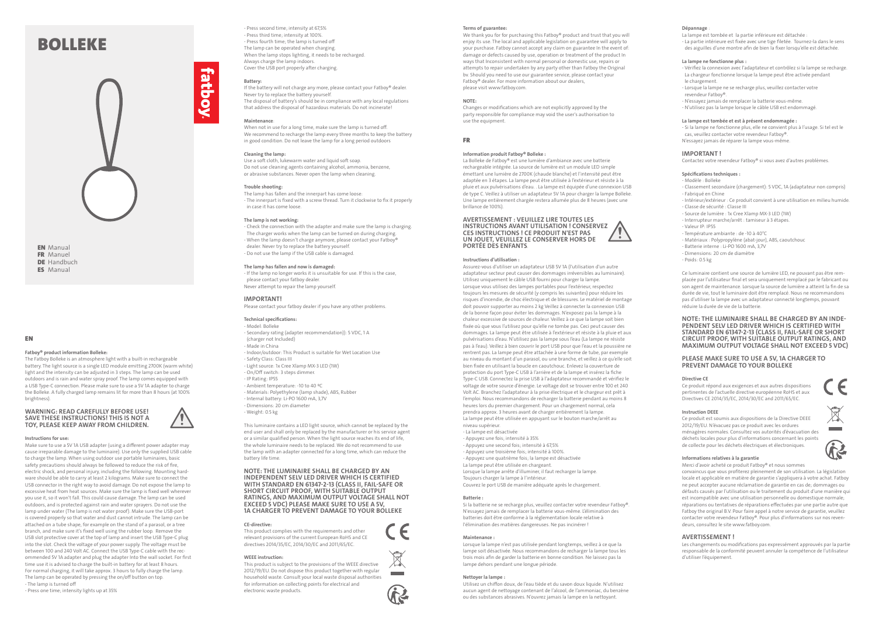- Press second time; intensity at 67,5% - Press third time; intensity at 100%. - Press fourth time; the lamp is turned off The lamp can be operated when charging. When the lamp stops lighting, it needs to be recharged. Always charge the lamp indoors. Cover the USB port properly after charging.

# **Battery:**

**fatboy** 

If the battery will not charge any more, please contact your Fatboy® dealer. Never try to replace the battery yourself. The disposal of battery's should be in compliance with any local regulations

that address the disposal of hazardous materials. Do not incinerate!

# **Maintenance**:

When not in use for a long time, make sure the lamp is turned off. We recommend to recharge the lamp every three months to keep the battery in good condition. Do not leave the lamp for a long period outdoors

# **Cleaning the lamp:**

Use a soft cloth, lukewarm water and liquid soft soap. Do not use cleaning agents containing alcohol, ammonia, benzene, or abrasive substances. Never open the lamp when cleaning.

#### **Trouble shooting:**

The lamp has fallen and the innerpart has come loose: - The innerpart is fixed with a screw thread. Turn it clockwise to fix it properly in case it has come loose.

# **The lamp is not working:**

- Check the connection with the adapter and make sure the lamp is charging. The charger works when the lamp can be turned on during charging. - When the lamp doesn't charge anymore, please contact your Fatboy® dealer. Never try to replace the battery yourself. - Do not use the lamp if the USB cable is damaged.

#### **The lamp has fallen and now is damaged:**

- If the lamp no longer works it is unsuitable for use. If this is the case, please contact your fatboy dealer. Never attempt to repair the lamp yourself.

# **IMPORTANT!**

EN Manual **FR** Manuel DE Handbuch

**ES** Manual

Please contact your fatboy dealer if you have any other problems.

# **Technical specifications:**

- Model: Bolleke - Secondary rating (adapter recommendation)): 5 VDC, 1 A
- (charger not Included)
- Made in China
- Indoor/outdoor: This Product is suitable for Wet Location Use
- Safety Class: Class III
- Light source: 1x Cree Xlamp MX-3 LED (1W)
- On/Off switch: 3 steps dimmer.
- IP Rating: IP55
- Ambient temperature: -10 to 40 ºC - Materials: Polyethylene (lamp shade), ABS, Rubber
- Internal battery: Li-PO 1600 mA, 3,7V
- Dimensions: 20 cm diameter
- 
- Weight: 0.5 kg

This luminaire contains a LED light source, which cannot be replaced by the end user and shall only be replaced by the manufacturer or his service agent or a similar qualified person. When the light source reaches its end of life, the whole luminaire needs to be replaced. We do not recommend to use the lamp with an adapter connected for a long time, which can reduce the battery life time.

**NOTE: THE LUMINAIRE SHALL BE CHARGED BY AN INDEPENDENT SELV LED DRIVER WHICH IS CERTIFIED WITH STANDARD EN 61347-2-13 (CLASS II, FAIL-SAFE OR SHORT CIRCUIT PROOF, WITH SUITABLE OUTPUT RATINGS, AND MAXIMUM OUTPUT VOLTAGE SHALL NOT EXCEED 5 VDC) PLEASE MAKE SURE TO USE A 5V, 1A CHARGER TO PREVENT DAMAGE TO YOUR BOLLEKE**

## **CE-directive:**

This product complies with the requirements and other relevant provisions of the current European RoHS and CE directives 2014/35/EC, 2014/30/EC and 2011/65/EC.

## **WEEE instruction:**

We thank you for for purchasing this Fatboy® product and trust that you will enjoy its use. The local and applicable legislation on guarantee will apply to your purchase. Fatboy cannot accept any claim on guarantee In the event of: damage or defects caused by use, operation or treatment of the product In ways that Inconsistent with normal personal or domestic use, repairs or attempts to repair undertaken by any party other than Fatboy the Original bv. Should you need to use our guarantee service, please contact your Fatboy® dealer. For more information about our dealers, please visit www.fatboy.com.

This product is subject to the provisions of the WEEE directive 2012/19/EU. Do not dispose this product together with regular household waste. Consult your local waste disposal authorities for information on collecting points for electrical and electronic waste products.

# BOLLEKE



# EN

# **Fatboy® product information Bolleke:**

The Fatboy Bolleke is an atmosphere light with a built-in rechargeable battery. The light source is a single LED module emitting 2700K (warm white) light and the intensity can be adjusted in 3 steps. The lamp can be used outdoors and is rain and water spray proof. The lamp comes equipped with a USB Type-C connection. Please make sure to use a 5V 1A adapter to charge the Bolleke. A fully charged lamp remains lit for more than 8 hours (at 100% brightness).

#### **WARNING: READ CAREFULLY BEFORE USE! SAVE THESE INSTRUCTIONS! THIS IS NOT A TOY, PLEASE KEEP AWAY FROM CHILDREN.**



#### **Instructions for use:**

Make sure to use a 5V 1A USB adapter (using a different power adapter may cause irreparable damage to the luminaire). Use only the supplied USB cable to charge the lamp. When using outdoor use portable luminaires, basic safety precautions should always be followed to reduce the risk of fire, electric shock, and personal injury, including the following. Mounting hardware should be able to carry at least 2 kilograms. Make sure to connect the USB connector in the right way to avoid damage. Do not expose the lamp to excessive heat from heat sources. Make sure the lamp is fixed well wherever you use it, so it won't fall. This could cause damage. The lamp can be used outdoors, and is protected against rain and water sprayers. Do not use the lamp under water (The lamp is not water proof). Make sure the USB-port is covered properly so that water and dust cannot intrude. The lamp can be attached on a tube shape, for example on the stand of a parasol, or a tree branch, and make sure it's fixed well using the rubber loop. Remove the USB slot protective cover at the top of lamp and insert the USB Type-C plug into the slot. Check the voltage of your power supply. The voltage must be between 100 and 240 Volt AC. Connect the USB Type-C cable with the recommended 5V 1A adapter and plug the adapter Into the wall socket. For first time use it is advised to charge the built-in battery for at least 8 hours. For normal charging, it will take approx. 3 hours to fully charge the lamp. The lamp can be operated by pressing the on/off button on top. - The lamp is turned off

- Press one time; intensity lights up at 35%

#### **Terms of guarantee:**

## **NOTE:**

Changes or modifications which are not explicitly approved by the party responsible for compliance may void the user's authorisation to use the equipment.

# FR

## **Information produit Fatboy® Bolleke :**

La Bolleke de Fatboy® est une lumière d'ambiance avec une batterie rechargeable intégrée. La source de lumière est un module LED simple émettant une lumière de 2700K (chaude blanche) et l'intensité peut être adaptée en 3 étapes. La lampe peut être utilisée à l'extérieur et résiste à la pluie et aux pulvérisations d'eau. . La lampe est équipée d'une connexion USB de type C. Veillez à utiliser un adaptateur 5V 1A pour charger la lampe Bolleke. Une lampe entièrement chargée restera allumée plus de 8 heures (avec une brillance de 100%).

# **AVERTISSEMENT : VEUILLEZ LIRE TOUTES LES INSTRUCTIONS AVANT UTILISATION ! CONSERVEZ CES INSTRUCTIONS ! CE PRODUIT N'EST PAS UN JOUET, VEUILLEZ LE CONSERVER HORS DE PORTÉE DES ENFANTS**.

#### **Instructions d'utilisation :**

Assurez-vous d'utiliser un adaptateur USB 5V 1A (l'utilisation d'un autre adaptateur secteur peut causer des dommages irréversibles au luminaire). Utilisez uniquement le câble USB fourni pour charger la lampe. Lorsque vous utilisez des lampes portables pour l'extérieur, respectez toujours les mesures de sécurité (y compris les suivantes) pour réduire les risques d'incendie, de choc électrique et de blessures. Le matériel de montage doit pouvoir supporter au moins 2 kg Veillez à connecter la connexion USB de la bonne façon pour éviter les dommages. N'exposez pas la lampe à la chaleur excessive de sources de chaleur. Veillez à ce que la lampe soit bien fixée où que vous l'utilisez pour qu'elle ne tombe pas. Ceci peut causer des dommages. La lampe peut être utilisée à l'extérieur et résiste à la pluie et aux pulvérisations d'eau. N'utilisez pas la lampe sous l'eau (La lampe ne résiste pas à l'eau). Veillez à bien couvrir le port USB pour que l'eau et la poussière ne rentrent pas. La lampe peut être attachée à une forme de tube, par exemple au niveau du montant d'un parasol, ou une branche, et veillez à ce qu'elle soit bien fixée en utilisant la boucle en caoutchouc. Enlevez la couverture de protection du port Type-C USB à l'arrière et de la lampe et insérez la fiche Type-C USB. Connectez la prise USB à l'adaptateur recommandé et vérifiez le voltage de votre source d'énergie. Le voltage doit se trouver entre 100 et 240 Volt AC. Branchez l'adaptateur à la prise électrique et le chargeur est prêt à l'emploi. Nous recommandons de recharger la batterie pendant au moins 8 heures lors du premier chargement. Pour un chargement normal, cela prendra approx. 3 heures avant de charger entièrement la lampe. La lampe peut être utilisée en appuyant sur le bouton marche/arrêt au niveau supérieur.

- La lampe est désactivée
- Appuyez une fois; intensité à 35%
- Appuyez une second fois; intensité à 67,5%
- Appuyez une troisième fois; intensité à 100%.
- Appuyez une quatrième fois; la lampe est désactivée
- La lampe peut être utilisée en chargeant.
- Lorsque la lampe arrête d'illuminer, il faut recharger la lampe.
- Toujours charger la lampe à l'intérieur.
- Couvrez le port USB de manière adéquate après le chargement.

# **Batterie :**

Si la batterie ne se recharge plus, veuillez contacter votre revendeur Fatboy®. N'essayez jamais de remplacer la batterie vous-même. L'élimination des batteries doit être conforme à la réglementation locale relative à l'élimination des matières dangereuses. Ne pas incinérer !

# **Maintenance :**

Lorsque la lampe n'est pas utilisée pendant longtemps, veillez à ce que la lampe soit désactivée. Nous recommandons de recharger la lampe tous les trois mois afin de garder la batterie en bonne condition. Ne laissez pas la lampe dehors pendant une longue période.

# **Nettoyer la lampe :**

Utilisez un chiffon doux, de l'eau tiède et du savon doux liquide. N'utilisez aucun agent de nettoyage contenant de l'alcool, de l'ammoniac, du benzène ou des substances abrasives. N'ouvrez jamais la lampe en la nettoyant.







# **Dépannage** :

La lampe est tombée et la partie inférieure est détachée :

- La partie intérieure est fixée avec une tige filetée. Tournez-la dans le sens des aiguilles d'une montre afin de bien la fixer lorsqu'elle est détachée.

# **La lampe ne fonctionne plus :**

- Vérifiez la connexion avec l'adaptateur et contrôlez si la lampe se recharge. La chargeur fonctionne lorsque la lampe peut être activée pendant le chargement.
- Lorsque la lampe ne se recharge plus, veuillez contacter votre revendeur Fatboy®.
- N'essayez jamais de remplacer la batterie vous-même.
- N'utilisez pas la lampe lorsque le câble USB est endommagé.

#### **La lampe est tombée et est à présent endommagée :**

- Si la lampe ne fonctionne plus, elle ne convient plus à l'usage. Si tel est le cas, veuillez contacter votre revendeur Fatboy®.
- N'essayez jamais de réparer la lampe vous-même.

## **IMPORTANT !**

Contactez votre revendeur Fatboy® si vous avez d'autres problèmes.

## **Spécifications techniques :**

- Modèle : Bolleke
- Classement secondaire (chargement): 5 VDC, 1A (adaptateur non compris)
- Fabriqué en Chine
- Intérieur/extérieur : Ce produit convient à une utilisation en milieu humide.
- Classe de sécurité : Classe III
- Source de lumière : 1x Cree Xlamp MX-3 LED (1W)
- Interrupteur marche/arrêt : tamiseur à 3 étapes.
- Valeur IP: IP55
- Température ambiante : de -10 à 40°C
- Matériaux : Polypropylène (abat-jour), ABS, caoutchouc
- Batterie interne : Li-PO 1600 mA, 3,7V
- Dimensions: 20 cm de diamètre
- Poids: 0.5 kg

Ce luminaire contient une source de lumière LED, ne pouvant pas être remplacée par l'utilisateur final et sera uniquement remplacé par le fabricant ou son agent de maintenance. Lorsque la source de lumière a atteint la fin de sa durée de vie, tout le luminaire doit être remplacé. Nous ne recommandons pas d'utiliser la lampe avec un adaptateur connecté longtemps, pouvant réduire la durée de vie de la batterie.

# **NOTE: THE LUMINAIRE SHALL BE CHARGED BY AN INDE-PENDENT SELV LED DRIVER WHICH IS CERTIFIED WITH STANDARD EN 61347-2-13 (CLASS II, FAIL-SAFE OR SHORT CIRCUIT PROOF, WITH SUITABLE OUTPUT RATINGS, AND MAXIMUM OUTPUT VOLTAGE SHALL NOT EXCEED 5 VDC)**

# **PLEASE MAKE SURE TO USE A 5V, 1A CHARGER TO PREVENT DAMAGE TO YOUR BOLLEKE**

#### **Directive CE**

Ce produit répond aux exigences et aux autres dispositions pertinentes de l'actuelle directive européenne RoHS et aux Directives CE 2014/35/EC, 2014/30/EC and 2011/65/EC.

#### **Instruction DEEE**

Ce produit est soumis aux dispositions de la Directive DEEE 2012/19/EU. N'évacuez pas ce produit avec les ordures ménagères normales. Consultez vos autorités d'évacuation des déchets locales pour plus d'informations concernant les points de collecte pour les déchets électriques et électroniques.



#### **Informations relatives à la garantie**

Merci d'avoir acheté ce produit Fatboy® et nous sommes

convaincus que vous profiterez pleinement de son utilisation. La législation locale et applicable en matière de garantie s'appliquera à votre achat. Fatboy ne peut accepter aucune réclamation de garantie en cas de; dommages ou défauts causés par l'utilisation ou le traitement du produit d'une manière qui est incompatible avec une utilisation personnelle ou domestique normale; réparations ou tentatives de réparations effectuées par une partie autre que Fatboy the original B.V. Pour faire appel à notre service de garantie, veuillez contacter votre revendeur Fatboy®. Pour plus d'informations sur nos revendeurs, consultez le site www.fatboy.com.

# **AVERTISSEMENT !**

Les changements ou modifications pas expressément approuvés par la partie responsable de la conformité peuvent annuler la compétence de l'utilisateur d'utiliser l'équipement.